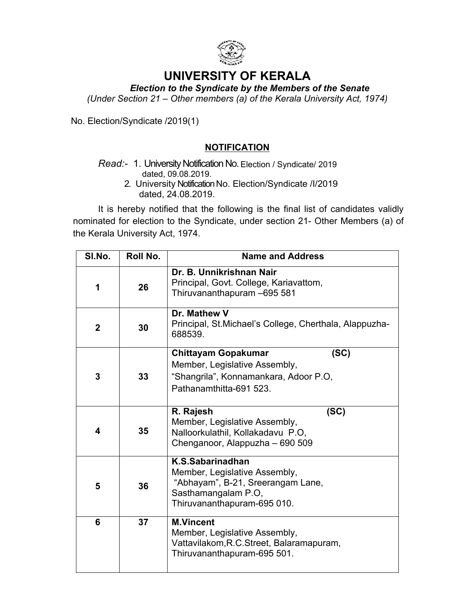

## **UNIVERSITY OF KERALA**

*Election to the Syndicate by the Members of the Senate* 

*(Under Section 21 – Other members (a) of the Kerala University Act, 1974)*

No. Election/Syndicate /2019(1)

## **NOTIFICATION**

## *Read:-* 1. University Notification No. Election / Syndicate/ 2019 dated, 09.08.2019.

2. University Notification No. Election/Syndicate /I/2019 dated, 24.08.2019.

It is hereby notified that the following is the final list of candidates validly nominated for election to the Syndicate, under section 21- Other Members (a) of the Kerala University Act, 1974.

| SI.No.      | Roll No. | <b>Name and Address</b>                                                                                                                      |
|-------------|----------|----------------------------------------------------------------------------------------------------------------------------------------------|
| 1           | 26       | Dr. B. Unnikrishnan Nair<br>Principal, Govt. College, Kariavattom,<br>Thiruvananthapuram -695 581                                            |
| $\mathbf 2$ | 30       | Dr. Mathew V<br>Principal, St. Michael's College, Cherthala, Alappuzha-<br>688539.                                                           |
| 3           | 33       | (SC)<br>Chittayam Gopakumar<br>Member, Legislative Assembly,<br>"Shangrila", Konnamankara, Adoor P.O,<br>Pathanamthitta-691 523.             |
| 4           | 35       | (SC)<br>R. Rajesh<br>Member, Legislative Assembly,<br>Nalloorkulathil, Kollakadavu P.O,<br>Chenganoor, Alappuzha - 690 509                   |
| 5           | 36       | K.S.Sabarinadhan<br>Member, Legislative Assembly,<br>"Abhayam", B-21, Sreerangam Lane,<br>Sasthamangalam P.O,<br>Thiruvananthapuram-695 010. |
| 6           | 37       | <b>M.Vincent</b><br>Member, Legislative Assembly,<br>Vattavilakom, R.C. Street, Balaramapuram,<br>Thiruvananthapuram-695 501.                |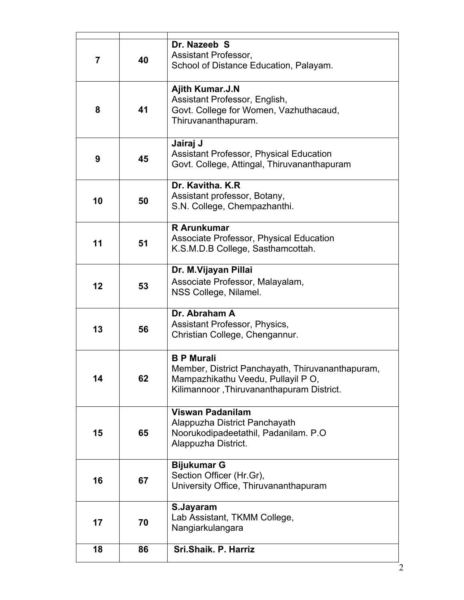| $\overline{7}$ | 40 | Dr. Nazeeb S<br>Assistant Professor,<br>School of Distance Education, Palayam.                                                                           |
|----------------|----|----------------------------------------------------------------------------------------------------------------------------------------------------------|
| 8              | 41 | Ajith Kumar.J.N<br>Assistant Professor, English,<br>Govt. College for Women, Vazhuthacaud,<br>Thiruvananthapuram.                                        |
| 9              | 45 | Jairaj J<br><b>Assistant Professor, Physical Education</b><br>Govt. College, Attingal, Thiruvananthapuram                                                |
| 10             | 50 | Dr. Kavitha, K.R.<br>Assistant professor, Botany,<br>S.N. College, Chempazhanthi.                                                                        |
| 11             | 51 | R Arunkumar<br>Associate Professor, Physical Education<br>K.S.M.D.B College, Sasthamcottah.                                                              |
| 12             | 53 | Dr. M.Vijayan Pillai<br>Associate Professor, Malayalam,<br>NSS College, Nilamel.                                                                         |
| 13             | 56 | Dr. Abraham A<br>Assistant Professor, Physics,<br>Christian College, Chengannur.                                                                         |
| 14             | 62 | <b>B P Murali</b><br>Member, District Panchayath, Thiruvananthapuram,<br>Mampazhikathu Veedu, Pullayil P O,<br>Kilimannoor, Thiruvananthapuram District. |
| 15             | 65 | <b>Viswan Padanilam</b><br>Alappuzha District Panchayath<br>Noorukodipadeetathil, Padanilam. P.O.<br>Alappuzha District.                                 |
| 16             | 67 | <b>Bijukumar G</b><br>Section Officer (Hr.Gr),<br>University Office, Thiruvananthapuram                                                                  |
| 17             | 70 | S.Jayaram<br>Lab Assistant, TKMM College,<br>Nangiarkulangara                                                                                            |
| 18             | 86 | Sri.Shaik. P. Harriz                                                                                                                                     |